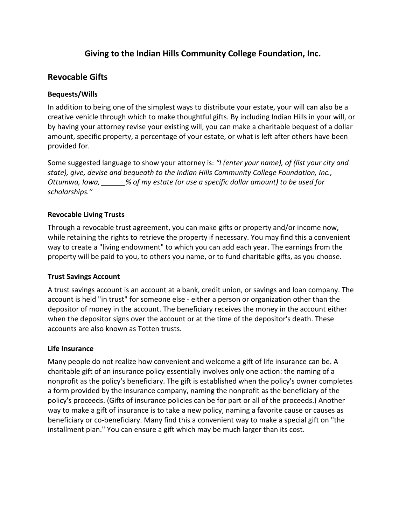# **Giving to the Indian Hills Community College Foundation, Inc.**

## **Revocable Gifts**

### **Bequests/Wills**

In addition to being one of the simplest ways to distribute your estate, your will can also be a creative vehicle through which to make thoughtful gifts. By including Indian Hills in your will, or by having your attorney revise your existing will, you can make a charitable bequest of a dollar amount, specific property, a percentage of your estate, or what is left after others have been provided for.

Some suggested language to show your attorney is: *"I (enter your name), of (list your city and state), give, devise and bequeath to the Indian Hills Community College Foundation, Inc., Ottumwa, Iowa, \_\_\_\_\_\_% of my estate (or use a specific dollar amount) to be used for scholarships."*

## **Revocable Living Trusts**

Through a revocable trust agreement, you can make gifts or property and/or income now, while retaining the rights to retrieve the property if necessary. You may find this a convenient way to create a "living endowment" to which you can add each year. The earnings from the property will be paid to you, to others you name, or to fund charitable gifts, as you choose.

### **Trust Savings Account**

A trust savings account is an account at a bank, credit union, or savings and loan company. The account is held "in trust" for someone else - either a person or organization other than the depositor of money in the account. The beneficiary receives the money in the account either when the depositor signs over the account or at the time of the depositor's death. These accounts are also known as Totten trusts.

### **Life Insurance**

Many people do not realize how convenient and welcome a gift of life insurance can be. A charitable gift of an insurance policy essentially involves only one action: the naming of a nonprofit as the policy's beneficiary. The gift is established when the policy's owner completes a form provided by the insurance company, naming the nonprofit as the beneficiary of the policy's proceeds. (Gifts of insurance policies can be for part or all of the proceeds.) Another way to make a gift of insurance is to take a new policy, naming a favorite cause or causes as beneficiary or co-beneficiary. Many find this a convenient way to make a special gift on "the installment plan." You can ensure a gift which may be much larger than its cost.